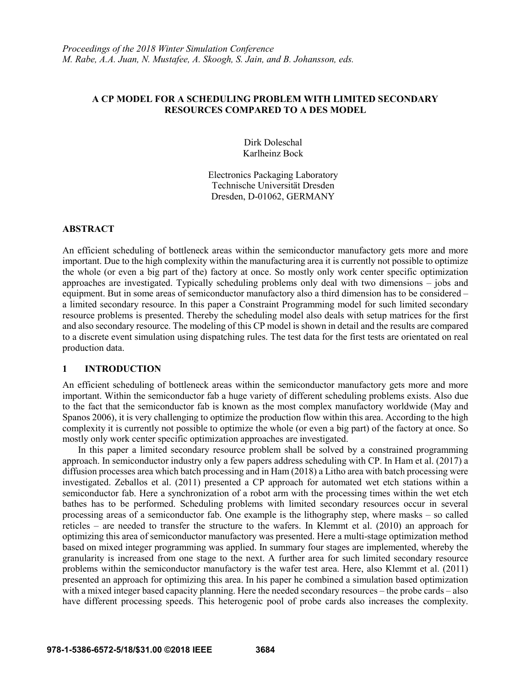## **A CP MODEL FOR A SCHEDULING PROBLEM WITH LIMITED SECONDARY RESOURCES COMPARED TO A DES MODEL**

Dirk Doleschal Karlheinz Bock

Electronics Packaging Laboratory Technische Universität Dresden Dresden, D-01062, GERMANY

## **ABSTRACT**

An efficient scheduling of bottleneck areas within the semiconductor manufactory gets more and more important. Due to the high complexity within the manufacturing area it is currently not possible to optimize the whole (or even a big part of the) factory at once. So mostly only work center specific optimization approaches are investigated. Typically scheduling problems only deal with two dimensions – jobs and equipment. But in some areas of semiconductor manufactory also a third dimension has to be considered – a limited secondary resource. In this paper a Constraint Programming model for such limited secondary resource problems is presented. Thereby the scheduling model also deals with setup matrices for the first and also secondary resource. The modeling of this CP model is shown in detail and the results are compared to a discrete event simulation using dispatching rules. The test data for the first tests are orientated on real production data.

## **1 INTRODUCTION**

An efficient scheduling of bottleneck areas within the semiconductor manufactory gets more and more important. Within the semiconductor fab a huge variety of different scheduling problems exists. Also due to the fact that the semiconductor fab is known as the most complex manufactory worldwide (May and Spanos 2006), it is very challenging to optimize the production flow within this area. According to the high complexity it is currently not possible to optimize the whole (or even a big part) of the factory at once. So mostly only work center specific optimization approaches are investigated.

In this paper a limited secondary resource problem shall be solved by a constrained programming approach. In semiconductor industry only a few papers address scheduling with CP. In Ham et al. (2017) a diffusion processes area which batch processing and in Ham (2018) a Litho area with batch processing were investigated. Zeballos et al. (2011) presented a CP approach for automated wet etch stations within a semiconductor fab. Here a synchronization of a robot arm with the processing times within the wet etch bathes has to be performed. Scheduling problems with limited secondary resources occur in several processing areas of a semiconductor fab. One example is the lithography step, where masks – so called reticles – are needed to transfer the structure to the wafers. In Klemmt et al. (2010) an approach for optimizing this area of semiconductor manufactory was presented. Here a multi-stage optimization method based on mixed integer programming was applied. In summary four stages are implemented, whereby the granularity is increased from one stage to the next. A further area for such limited secondary resource problems within the semiconductor manufactory is the wafer test area. Here, also Klemmt et al. (2011) presented an approach for optimizing this area. In his paper he combined a simulation based optimization with a mixed integer based capacity planning. Here the needed secondary resources – the probe cards – also have different processing speeds. This heterogenic pool of probe cards also increases the complexity.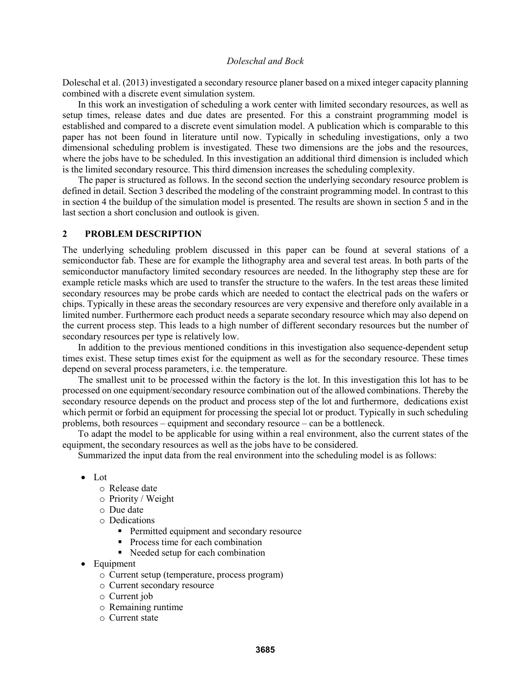Doleschal et al. (2013) investigated a secondary resource planer based on a mixed integer capacity planning combined with a discrete event simulation system.

In this work an investigation of scheduling a work center with limited secondary resources, as well as setup times, release dates and due dates are presented. For this a constraint programming model is established and compared to a discrete event simulation model. A publication which is comparable to this paper has not been found in literature until now. Typically in scheduling investigations, only a two dimensional scheduling problem is investigated. These two dimensions are the jobs and the resources, where the jobs have to be scheduled. In this investigation an additional third dimension is included which is the limited secondary resource. This third dimension increases the scheduling complexity.

The paper is structured as follows. In the second section the underlying secondary resource problem is defined in detail. Section 3 described the modeling of the constraint programming model. In contrast to this in section 4 the buildup of the simulation model is presented. The results are shown in section 5 and in the last section a short conclusion and outlook is given.

### **2 PROBLEM DESCRIPTION**

The underlying scheduling problem discussed in this paper can be found at several stations of a semiconductor fab. These are for example the lithography area and several test areas. In both parts of the semiconductor manufactory limited secondary resources are needed. In the lithography step these are for example reticle masks which are used to transfer the structure to the wafers. In the test areas these limited secondary resources may be probe cards which are needed to contact the electrical pads on the wafers or chips. Typically in these areas the secondary resources are very expensive and therefore only available in a limited number. Furthermore each product needs a separate secondary resource which may also depend on the current process step. This leads to a high number of different secondary resources but the number of secondary resources per type is relatively low.

In addition to the previous mentioned conditions in this investigation also sequence-dependent setup times exist. These setup times exist for the equipment as well as for the secondary resource. These times depend on several process parameters, i.e. the temperature.

The smallest unit to be processed within the factory is the lot. In this investigation this lot has to be processed on one equipment/secondary resource combination out of the allowed combinations. Thereby the secondary resource depends on the product and process step of the lot and furthermore, dedications exist which permit or forbid an equipment for processing the special lot or product. Typically in such scheduling problems, both resources – equipment and secondary resource – can be a bottleneck.

To adapt the model to be applicable for using within a real environment, also the current states of the equipment, the secondary resources as well as the jobs have to be considered.

Summarized the input data from the real environment into the scheduling model is as follows:

- Lot
	- o Release date
	- o Priority / Weight
	- o Due date
	- o Dedications
		- **Permitted equipment and secondary resource**
		- Process time for each combination
		- Needed setup for each combination
- Equipment
	- o Current setup (temperature, process program)
	- o Current secondary resource
	- o Current job
	- o Remaining runtime
	- o Current state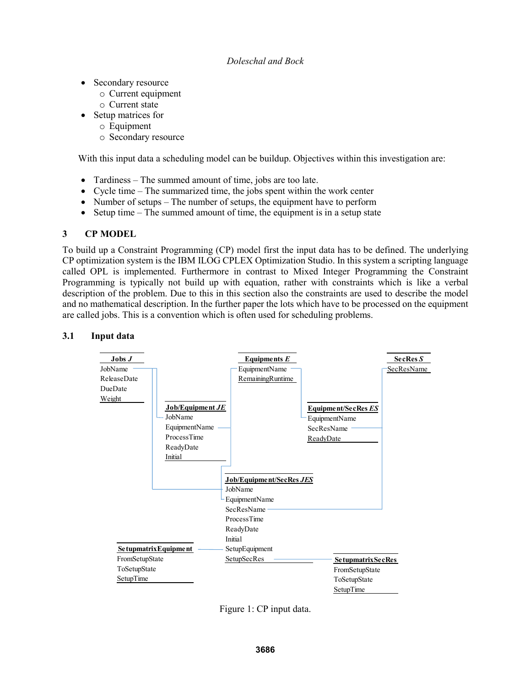- Secondary resource
	- o Current equipment
	- o Current state
- Setup matrices for
	- o Equipment
	- o Secondary resource

With this input data a scheduling model can be buildup. Objectives within this investigation are:

- Tardiness The summed amount of time, jobs are too late.
- Cycle time The summarized time, the jobs spent within the work center
- Number of setups The number of setups, the equipment have to perform
- Setup time The summed amount of time, the equipment is in a setup state

# **3 CP MODEL**

To build up a Constraint Programming (CP) model first the input data has to be defined. The underlying CP optimization system is the IBM ILOG CPLEX Optimization Studio. In this system a scripting language called OPL is implemented. Furthermore in contrast to Mixed Integer Programming the Constraint Programming is typically not build up with equation, rather with constraints which is like a verbal description of the problem. Due to this in this section also the constraints are used to describe the model and no mathematical description. In the further paper the lots which have to be processed on the equipment are called jobs. This is a convention which is often used for scheduling problems.

## **3.1 Input data**



Figure 1: CP input data.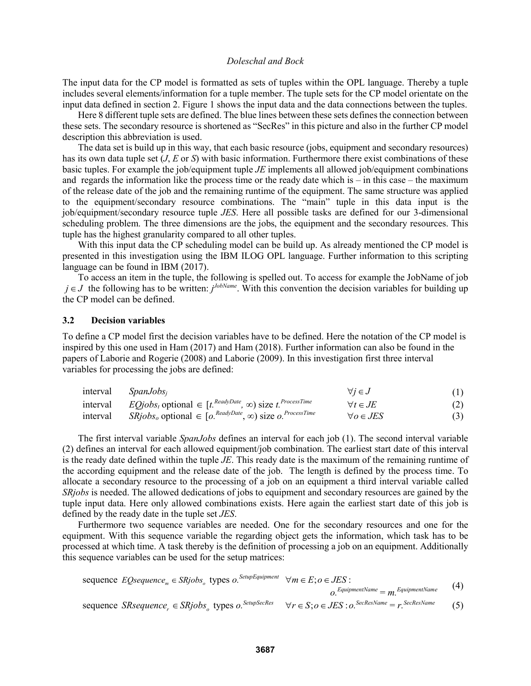The input data for the CP model is formatted as sets of tuples within the OPL language. Thereby a tuple includes several elements/information for a tuple member. The tuple sets for the CP model orientate on the input data defined in section 2. Figure 1 shows the input data and the data connections between the tuples.

Here 8 different tuple sets are defined. The blue lines between these sets defines the connection between these sets. The secondary resource is shortened as "SecRes" in this picture and also in the further CP model description this abbreviation is used.

The data set is build up in this way, that each basic resource (jobs, equipment and secondary resources) has its own data tuple set (*J*, *E* or *S*) with basic information. Furthermore there exist combinations of these basic tuples. For example the job/equipment tuple *JE* implements all allowed job/equipment combinations and regards the information like the process time or the ready date which is  $-$  in this case  $-$  the maximum of the release date of the job and the remaining runtime of the equipment. The same structure was applied to the equipment/secondary resource combinations. The "main" tuple in this data input is the job/equipment/secondary resource tuple *JES*. Here all possible tasks are defined for our 3-dimensional scheduling problem. The three dimensions are the jobs, the equipment and the secondary resources. This tuple has the highest granularity compared to all other tuples.

With this input data the CP scheduling model can be build up. As already mentioned the CP model is presented in this investigation using the IBM ILOG OPL language. Further information to this scripting language can be found in IBM (2017).

To access an item in the tuple, the following is spelled out. To access for example the JobName of job *j* ∈ *J* the following has to be written: *j*<sup>*JobName*. With this convention the decision variables for building up</sup> the CP model can be defined.

### **3.2 Decision variables**

To define a CP model first the decision variables have to be defined. Here the notation of the CP model is inspired by this one used in Ham (2017) and Ham (2018). Further information can also be found in the papers of Laborie and Rogerie (2008) and Laborie (2009). In this investigation first three interval variables for processing the jobs are defined:

| interval $SpanJobs_i$                                                                                                   | $\forall j \in J$   | (1) |
|-------------------------------------------------------------------------------------------------------------------------|---------------------|-----|
| interval $EQjobs_t$ optional $\in [t^{.\,edyDate}, \infty)$ size $t^{.ProcessTime}$                                     | $\forall t \in JE$  | (2) |
| interval SRjobs <sub>o</sub> optional $\in$ [ $o$ , <sup>ReadyDate</sup> , $\infty$ ) size $o$ , <sup>ProcessTime</sup> | $\forall o \in JES$ | (3) |

The first interval variable *SpanJobs* defines an interval for each job (1). The second interval variable (2) defines an interval for each allowed equipment/job combination. The earliest start date of this interval is the ready date defined within the tuple *JE*. This ready date is the maximum of the remaining runtime of the according equipment and the release date of the job. The length is defined by the process time. To allocate a secondary resource to the processing of a job on an equipment a third interval variable called *SRjobs* is needed. The allowed dedications of jobs to equipment and secondary resources are gained by the tuple input data. Here only allowed combinations exists. Here again the earliest start date of this job is defined by the ready date in the tuple set *JES*.

Furthermore two sequence variables are needed. One for the secondary resources and one for the equipment. With this sequence variable the regarding object gets the information, which task has to be processed at which time. A task thereby is the definition of processing a job on an equipment. Additionally this sequence variables can be used for the setup matrices:

sequence 
$$
EQ
$$
 sequence<sub>m</sub>  $\in$  SRjobs<sub>o</sub> types  $o$ .<sup>SetupEquiment</sup>  $\forall m \in E$ ;  $o \in JES$ :

 $o.$ *EquipmentName* =  $m.$ *EquipmentName* (4)

sequence *Sksequence<sub>r</sub>* 
$$
\in
$$
 *Skjobs<sub>o</sub>* types *o*.<sup>SetupSecRes</sup>  $\forall r \in S$ ;  $o \in JES : o$ .<sup>SecResName</sup> = *r*.<sup>SecResName</sup> (5)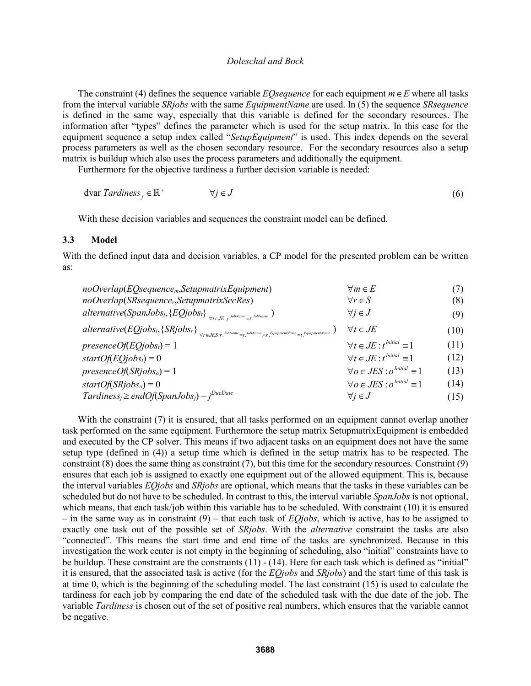The constraint (4) defines the sequence variable *EQsequence* for each equipment *m*∈*E* where all tasks from the interval variable *SRjobs* with the same *EquipmentName* are used. In (5) the sequence *SRsequence* is defined in the same way, especially that this variable is defined for the secondary resources. The information after "types" defines the parameter which is used for the setup matrix. In this case for the equipment sequence a setup index called "*SetupEquipment*" is used. This index depends on the several process parameters as well as the chosen secondary resource. For the secondary resources also a setup matrix is buildup which also uses the process parameters and additionally the equipment.

Furthermore for the objective tardiness a further decision variable is needed:

$$
\text{dvar } Tardiness_j \in \mathbb{R}^+ \qquad \qquad \forall j \in J \tag{6}
$$

With these decision variables and sequences the constraint model can be defined.

#### **3.3 Model**

With the defined input data and decision variables, a CP model for the presented problem can be written as:

| $noOverlap(EO sequencem, Set up matrix Equipment)$                                                                                                                       | $\forall m \in E$                          | (7)  |
|--------------------------------------------------------------------------------------------------------------------------------------------------------------------------|--------------------------------------------|------|
| noOverlap(SRsequencer,SetupmatrixSecRes)                                                                                                                                 | $\forall r \in S$                          | (8)  |
| $\mathit{alternative}(\mathit{Span} \mathit{Jobs}_j, \{\mathit{EQ} \mathit{jobs}_t\}_{\forall t \in \mathit{JE}: i, \mathit{JobName} = t, \mathit{JobName}})$            | $\forall j \in J$                          | (9)  |
| ${alternative (EQjobs_t, \{SRjobs_r\}_{\forall r \in JES:r}.\textit{JobName}_{\neg t}.\textit{JobName}_{\wedge r}.\textit{EquipmentName}_{=t}.\textit{EquipmentName}})}$ | $\forall t \in JE$                         | (10) |
| $presenceOf(EQjobst) = 1$                                                                                                                                                | $\forall t \in JE : t^{Initial} \equiv 1$  | (11) |
| $startOf(EQjobst) = 0$                                                                                                                                                   | $\forall t \in JE : t^{Initial} \equiv 1$  | (12) |
| $presenceOf(SRjobso) = 1$                                                                                                                                                | $\forall o \in JES : o^{Initial} \equiv 1$ | (13) |
| startOf(SRjobs <sub>o</sub> ) = 0                                                                                                                                        | $\forall o \in JES : o^{Initial} \equiv 1$ | (14) |
| $Tardiness_j \geq endOf(SpanJobs_j) - j^{DueDate}$                                                                                                                       | $\forall j \in J$                          | (15) |

With the constraint (7) it is ensured, that all tasks performed on an equipment cannot overlap another task performed on the same equipment. Furthermore the setup matrix SetupmatrixEquipment is embedded and executed by the CP solver. This means if two adjacent tasks on an equipment does not have the same setup type (defined in (4)) a setup time which is defined in the setup matrix has to be respected. The constraint (8) does the same thing as constraint (7), but this time for the secondary resources. Constraint (9) ensures that each job is assigned to exactly one equipment out of the allowed equipment. This is, because the interval variables *EQjobs* and *SRjobs* are optional, which means that the tasks in these variables can be scheduled but do not have to be scheduled. In contrast to this, the interval variable *SpanJobs* is not optional, which means, that each task/job within this variable has to be scheduled. With constraint (10) it is ensured – in the same way as in constraint (9) – that each task of *EQjobs*, which is active, has to be assigned to exactly one task out of the possible set of *SRjobs*. With the *alternative* constraint the tasks are also "connected". This means the start time and end time of the tasks are synchronized. Because in this investigation the work center is not empty in the beginning of scheduling, also "initial" constraints have to be buildup. These constraint are the constraints (11) - (14). Here for each task which is defined as "initial" it is ensured, that the associated task is active (for the *EQjobs* and *SRjobs*) and the start time of this task is at time 0, which is the beginning of the scheduling model. The last constraint (15) is used to calculate the tardiness for each job by comparing the end date of the scheduled task with the due date of the job. The variable *Tardiness* is chosen out of the set of positive real numbers, which ensures that the variable cannot be negative.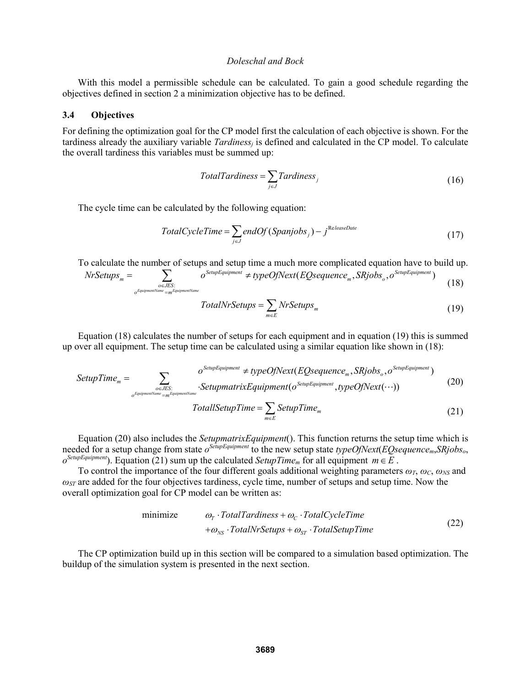With this model a permissible schedule can be calculated. To gain a good schedule regarding the objectives defined in section 2 a minimization objective has to be defined.

### **3.4 Objectives**

For defining the optimization goal for the CP model first the calculation of each objective is shown. For the tardiness already the auxiliary variable *Tardinessj* is defined and calculated in the CP model. To calculate the overall tardiness this variables must be summed up:

$$
TotalTardiness = \sum_{j \in J}Tardiness_j
$$
\n(16)

The cycle time can be calculated by the following equation:

$$
TotalCycleTime = \sum_{j \in J} endOf(Span jobs_j) - j^{\text{ReleaseDate}} \tag{17}
$$

To calculate the number of setups and setup time a much more complicated equation have to build up.

NrSetups<sub>m</sub> = 
$$
\sum_{o \in JES: \atop o^{Equipment\omega mce} = m^{\text{Equipment} \times \text{ame}}}
$$
o<sup>SetupEquipment</sup>  $\neq$  typeOfNext (EQsequence<sub>m</sub>, SRjobs<sub>o</sub>, o<sup>SetupEquipment</sup>) (18)

$$
TotalNrSetups = \sum_{m \in E} NrSetups_m
$$
\n(19)

Equation (18) calculates the number of setups for each equipment and in equation (19) this is summed up over all equipment. The setup time can be calculated using a similar equation like shown in (18):

$$
SetupTime_{m} = \sum_{o \in JES: \atop o^{EquipmentName = m^{EquipmentName}}} o^{SetupEquipment} \ne typeOfNext(EQsequence_{m}, SRjobs_{o}, o^{SetupEquipment})
$$
\n
$$
SetupTime_{m} \cdot SetupmatrixEquipment(o^{SetupEquipment}, typeOfNext(\cdots))
$$
\n
$$
TotalISetupTime = \sum_{m \in E} SetupTime_{m} \tag{21}
$$

Equation (20) also includes the *SetupmatrixEquipment*(). This function returns the setup time which is needed for a setup change from state *oSetupEquipment* to the new setup state *typeOfNext*(*EQsequencem*,*SRjobso*,  $o^{SetupEquipment}$ ). Equation (21) sum up the calculated *SetupTime<sub>m</sub>* for all equipment  $m \in E$ .

To control the importance of the four different goals additional weighting parameters  $\omega_T$ ,  $\omega_C$ ,  $\omega_{NS}$  and *ωST* are added for the four objectives tardiness, cycle time, number of setups and setup time. Now the overall optimization goal for CP model can be written as:

$$
\begin{array}{ll}\n\text{minimize} & \omega_{\text{r}} \cdot \text{TotalTardiness} + \omega_{\text{c}} \cdot \text{TotalCycleTime} \\
& + \omega_{\text{NS}} \cdot \text{TotalNrSetups} + \omega_{\text{ST}} \cdot \text{TotalSetupTime}\n\end{array} \tag{22}
$$

The CP optimization build up in this section will be compared to a simulation based optimization. The buildup of the simulation system is presented in the next section.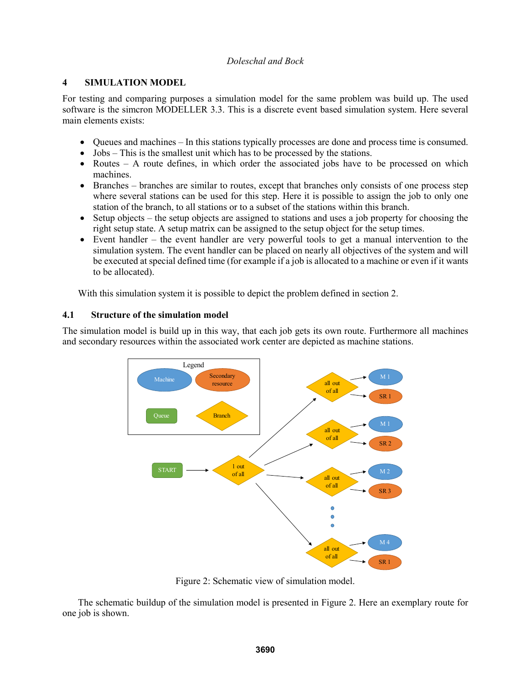## **4 SIMULATION MODEL**

For testing and comparing purposes a simulation model for the same problem was build up. The used software is the simcron MODELLER 3.3. This is a discrete event based simulation system. Here several main elements exists:

- Queues and machines In this stations typically processes are done and process time is consumed.
- Jobs This is the smallest unit which has to be processed by the stations.
- Routes A route defines, in which order the associated jobs have to be processed on which machines.
- Branches branches are similar to routes, except that branches only consists of one process step where several stations can be used for this step. Here it is possible to assign the job to only one station of the branch, to all stations or to a subset of the stations within this branch.
- Setup objects the setup objects are assigned to stations and uses a job property for choosing the right setup state. A setup matrix can be assigned to the setup object for the setup times.
- Event handler the event handler are very powerful tools to get a manual intervention to the simulation system. The event handler can be placed on nearly all objectives of the system and will be executed at special defined time (for example if a job is allocated to a machine or even if it wants to be allocated).

With this simulation system it is possible to depict the problem defined in section 2.

# **4.1 Structure of the simulation model**

The simulation model is build up in this way, that each job gets its own route. Furthermore all machines and secondary resources within the associated work center are depicted as machine stations.



Figure 2: Schematic view of simulation model.

The schematic buildup of the simulation model is presented in Figure 2. Here an exemplary route for one job is shown.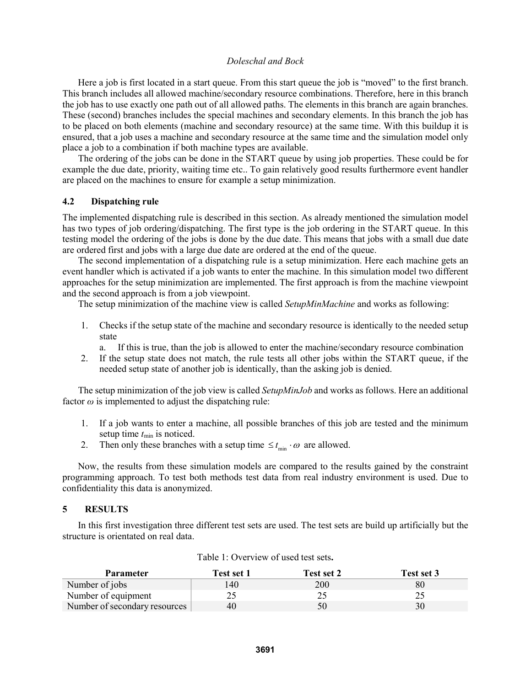Here a job is first located in a start queue. From this start queue the job is "moved" to the first branch. This branch includes all allowed machine/secondary resource combinations. Therefore, here in this branch the job has to use exactly one path out of all allowed paths. The elements in this branch are again branches. These (second) branches includes the special machines and secondary elements. In this branch the job has to be placed on both elements (machine and secondary resource) at the same time. With this buildup it is ensured, that a job uses a machine and secondary resource at the same time and the simulation model only place a job to a combination if both machine types are available.

The ordering of the jobs can be done in the START queue by using job properties. These could be for example the due date, priority, waiting time etc.. To gain relatively good results furthermore event handler are placed on the machines to ensure for example a setup minimization.

### **4.2 Dispatching rule**

The implemented dispatching rule is described in this section. As already mentioned the simulation model has two types of job ordering/dispatching. The first type is the job ordering in the START queue. In this testing model the ordering of the jobs is done by the due date. This means that jobs with a small due date are ordered first and jobs with a large due date are ordered at the end of the queue.

The second implementation of a dispatching rule is a setup minimization. Here each machine gets an event handler which is activated if a job wants to enter the machine. In this simulation model two different approaches for the setup minimization are implemented. The first approach is from the machine viewpoint and the second approach is from a job viewpoint.

The setup minimization of the machine view is called *SetupMinMachine* and works as following:

1. Checks if the setup state of the machine and secondary resource is identically to the needed setup state

a. If this is true, than the job is allowed to enter the machine/secondary resource combination

2. If the setup state does not match, the rule tests all other jobs within the START queue, if the needed setup state of another job is identically, than the asking job is denied.

The setup minimization of the job view is called *SetupMinJob* and works as follows. Here an additional factor  $\omega$  is implemented to adjust the dispatching rule:

- 1. If a job wants to enter a machine, all possible branches of this job are tested and the minimum setup time *t*min is noticed.
- 2. Then only these branches with a setup time  $\leq t_{\min} \cdot \omega$  are allowed.

Now, the results from these simulation models are compared to the results gained by the constraint programming approach. To test both methods test data from real industry environment is used. Due to confidentiality this data is anonymized.

#### **5 RESULTS**

In this first investigation three different test sets are used. The test sets are build up artificially but the structure is orientated on real data.

| <b>Parameter</b>              | Test set 1 | Test set 2 | Test set 3 |
|-------------------------------|------------|------------|------------|
| Number of jobs                | 140        | 200        | 80         |
| Number of equipment           |            |            |            |
| Number of secondary resources | 40         | 50         | 30         |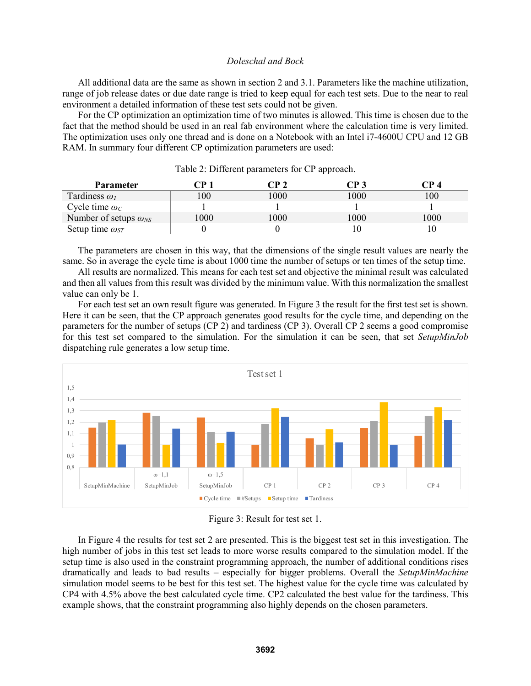All additional data are the same as shown in section 2 and 3.1. Parameters like the machine utilization, range of job release dates or due date range is tried to keep equal for each test sets. Due to the near to real environment a detailed information of these test sets could not be given.

For the CP optimization an optimization time of two minutes is allowed. This time is chosen due to the fact that the method should be used in an real fab environment where the calculation time is very limited. The optimization uses only one thread and is done on a Notebook with an Intel i7-4600U CPU and 12 GB RAM. In summary four different CP optimization parameters are used:

| <b>Parameter</b>               | 7P 1 | $\mathbb{P}$ 2 | CP 3 | `P 4 |
|--------------------------------|------|----------------|------|------|
| Tardiness $\omega_T$           | l 00 | 000            | 1000 | 100  |
| Cycle time $\omega_c$          |      |                |      |      |
| Number of setups $\omega_{NS}$ | 1000 | 000            | 1000 | 1000 |
| Setup time $\omega_{ST}$       |      |                |      |      |

Table 2: Different parameters for CP approach.

The parameters are chosen in this way, that the dimensions of the single result values are nearly the same. So in average the cycle time is about 1000 time the number of setups or ten times of the setup time.

All results are normalized. This means for each test set and objective the minimal result was calculated and then all values from this result was divided by the minimum value. With this normalization the smallest value can only be 1.

For each test set an own result figure was generated. In Figure 3 the result for the first test set is shown. Here it can be seen, that the CP approach generates good results for the cycle time, and depending on the parameters for the number of setups (CP 2) and tardiness (CP 3). Overall CP 2 seems a good compromise for this test set compared to the simulation. For the simulation it can be seen, that set *SetupMinJob* dispatching rule generates a low setup time.





In Figure 4 the results for test set 2 are presented. This is the biggest test set in this investigation. The high number of jobs in this test set leads to more worse results compared to the simulation model. If the setup time is also used in the constraint programming approach, the number of additional conditions rises dramatically and leads to bad results – especially for bigger problems. Overall the *SetupMinMachine* simulation model seems to be best for this test set. The highest value for the cycle time was calculated by CP4 with 4.5% above the best calculated cycle time. CP2 calculated the best value for the tardiness. This example shows, that the constraint programming also highly depends on the chosen parameters.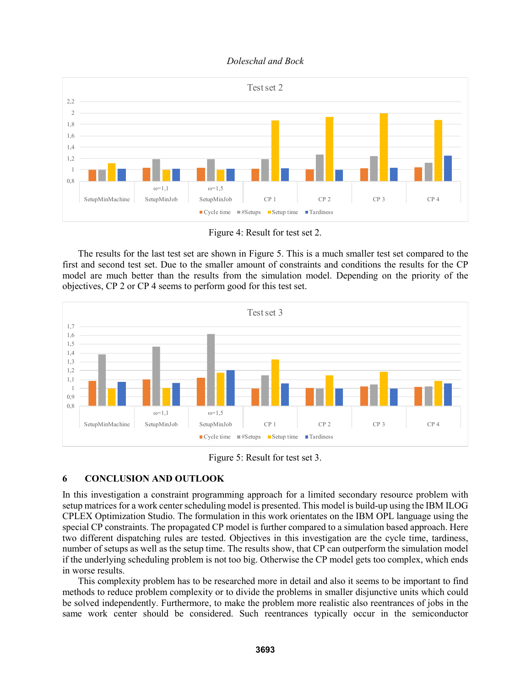

Figure 4: Result for test set 2.

The results for the last test set are shown in Figure 5. This is a much smaller test set compared to the first and second test set. Due to the smaller amount of constraints and conditions the results for the CP model are much better than the results from the simulation model. Depending on the priority of the objectives, CP 2 or CP 4 seems to perform good for this test set.



Figure 5: Result for test set 3.

# **6 CONCLUSION AND OUTLOOK**

In this investigation a constraint programming approach for a limited secondary resource problem with setup matrices for a work center scheduling model is presented. This model is build-up using the IBM ILOG CPLEX Optimization Studio. The formulation in this work orientates on the IBM OPL language using the special CP constraints. The propagated CP model is further compared to a simulation based approach. Here two different dispatching rules are tested. Objectives in this investigation are the cycle time, tardiness, number of setups as well as the setup time. The results show, that CP can outperform the simulation model if the underlying scheduling problem is not too big. Otherwise the CP model gets too complex, which ends in worse results.

This complexity problem has to be researched more in detail and also it seems to be important to find methods to reduce problem complexity or to divide the problems in smaller disjunctive units which could be solved independently. Furthermore, to make the problem more realistic also reentrances of jobs in the same work center should be considered. Such reentrances typically occur in the semiconductor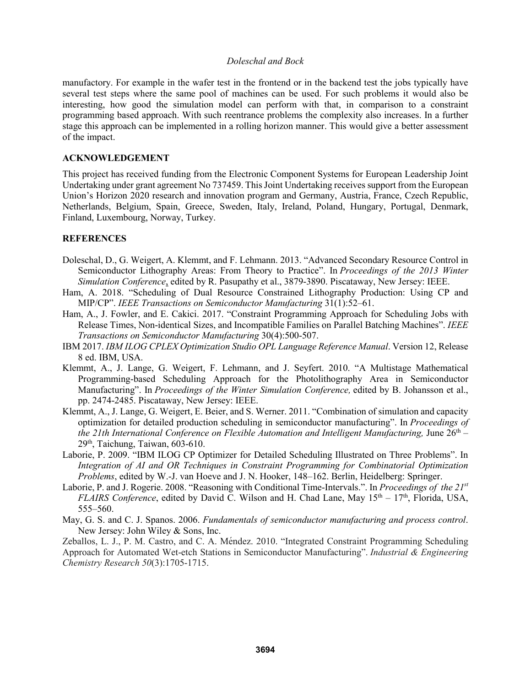manufactory. For example in the wafer test in the frontend or in the backend test the jobs typically have several test steps where the same pool of machines can be used. For such problems it would also be interesting, how good the simulation model can perform with that, in comparison to a constraint programming based approach. With such reentrance problems the complexity also increases. In a further stage this approach can be implemented in a rolling horizon manner. This would give a better assessment of the impact.

### **ACKNOWLEDGEMENT**

This project has received funding from the Electronic Component Systems for European Leadership Joint Undertaking under grant agreement No 737459. This Joint Undertaking receives support from the European Union's Horizon 2020 research and innovation program and Germany, Austria, France, Czech Republic, Netherlands, Belgium, Spain, Greece, Sweden, Italy, Ireland, Poland, Hungary, Portugal, Denmark, Finland, Luxembourg, Norway, Turkey.

## **REFERENCES**

- Doleschal, D., G. Weigert, A. Klemmt, and F. Lehmann. 2013. "Advanced Secondary Resource Control in Semiconductor Lithography Areas: From Theory to Practice". In *Proceedings of the 2013 Winter Simulation Conference*, edited by R. Pasupathy et al., 3879-3890. Piscataway, New Jersey: IEEE.
- Ham, A. 2018. "Scheduling of Dual Resource Constrained Lithography Production: Using CP and MIP/CP". *IEEE Transactions on Semiconductor Manufacturing* 31(1):52–61.
- Ham, A., J. Fowler, and E. Cakici. 2017. "Constraint Programming Approach for Scheduling Jobs with Release Times, Non-identical Sizes, and Incompatible Families on Parallel Batching Machines". *IEEE Transactions on Semiconductor Manufacturing* 30(4):500-507.
- IBM 2017. *IBM ILOG CPLEX Optimization Studio OPL Language Reference Manual*. Version 12, Release 8 ed. IBM, USA.
- Klemmt, A., J. Lange, G. Weigert, F. Lehmann, and J. Seyfert. 2010. "A Multistage Mathematical Programming-based Scheduling Approach for the Photolithography Area in Semiconductor Manufacturing". In *Proceedings of the Winter Simulation Conference,* edited by B. Johansson et al., pp. 2474-2485. Piscataway, New Jersey: IEEE.
- Klemmt, A., J. Lange, G. Weigert, E. Beier, and S. Werner. 2011. "Combination of simulation and capacity optimization for detailed production scheduling in semiconductor manufacturing". In *Proceedings of the 21th International Conference on Flexible Automation and Intelligent Manufacturing, June 26<sup>th</sup>* – 29<sup>th</sup>, Taichung, Taiwan, 603-610.
- Laborie, P. 2009. "IBM ILOG CP Optimizer for Detailed Scheduling Illustrated on Three Problems". In *Integration of AI and OR Techniques in Constraint Programming for Combinatorial Optimization Problems*, edited by W.-J. van Hoeve and J. N. Hooker, 148–162. Berlin, Heidelberg: Springer.
- Laborie, P. and J. Rogerie. 2008. "Reasoning with Conditional Time-Intervals.". In *Proceedings of the 21st FLAIRS Conference*, edited by David C. Wilson and H. Chad Lane, May 15<sup>th</sup> – 17<sup>th</sup>, Florida, USA, 555–560.
- May, G. S. and C. J. Spanos. 2006. *Fundamentals of semiconductor manufacturing and process control*. New Jersey: John Wiley & Sons, Inc.

Zeballos, L. J., P. M. Castro, and C. A. Mé ndez. 2010. "Integrated Constraint Programming Scheduling Approach for Automated Wet-etch Stations in Semiconductor Manufacturing". *Industrial & Engineering Chemistry Research 50*(3):1705-1715.